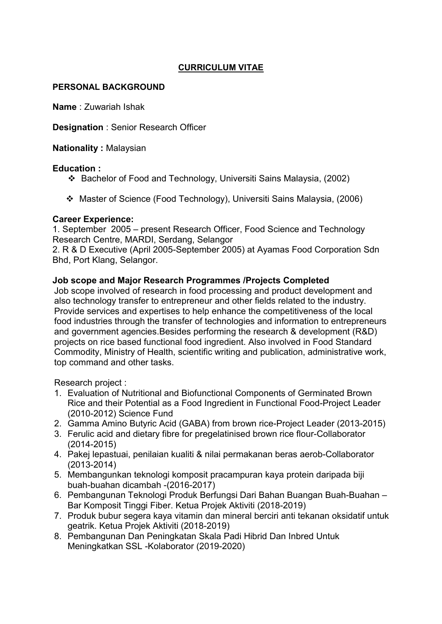# CURRICULUM VITAE

# PERSONAL BACKGROUND

Name : Zuwariah Ishak

Designation : Senior Research Officer

Nationality : Malaysian

## Education :

- Bachelor of Food and Technology, Universiti Sains Malaysia, (2002)
- Master of Science (Food Technology), Universiti Sains Malaysia, (2006)

# Career Experience:

1. September 2005 – present Research Officer, Food Science and Technology Research Centre, MARDI, Serdang, Selangor

2. R & D Executive (April 2005-September 2005) at Ayamas Food Corporation Sdn Bhd, Port Klang, Selangor.

# Job scope and Major Research Programmes /Projects Completed

Job scope involved of research in food processing and product development and also technology transfer to entrepreneur and other fields related to the industry. Provide services and expertises to help enhance the competitiveness of the local food industries through the transfer of technologies and information to entrepreneurs and government agencies.Besides performing the research & development (R&D) projects on rice based functional food ingredient. Also involved in Food Standard Commodity, Ministry of Health, scientific writing and publication, administrative work, top command and other tasks.

Research project :

- 1. Evaluation of Nutritional and Biofunctional Components of Germinated Brown Rice and their Potential as a Food Ingredient in Functional Food-Project Leader (2010-2012) Science Fund
- 2. Gamma Amino Butyric Acid (GABA) from brown rice-Project Leader (2013-2015)
- 3. Ferulic acid and dietary fibre for pregelatinised brown rice flour-Collaborator (2014-2015)
- 4. Pakej lepastuai, penilaian kualiti & nilai permakanan beras aerob-Collaborator (2013-2014)
- 5. Membangunkan teknologi komposit pracampuran kaya protein daripada biji buah-buahan dicambah -(2016-2017)
- 6. Pembangunan Teknologi Produk Berfungsi Dari Bahan Buangan Buah-Buahan Bar Komposit Tinggi Fiber. Ketua Projek Aktiviti (2018-2019)
- 7. Produk bubur segera kaya vitamin dan mineral berciri anti tekanan oksidatif untuk geatrik. Ketua Projek Aktiviti (2018-2019)
- 8. Pembangunan Dan Peningkatan Skala Padi Hibrid Dan Inbred Untuk Meningkatkan SSL -Kolaborator (2019-2020)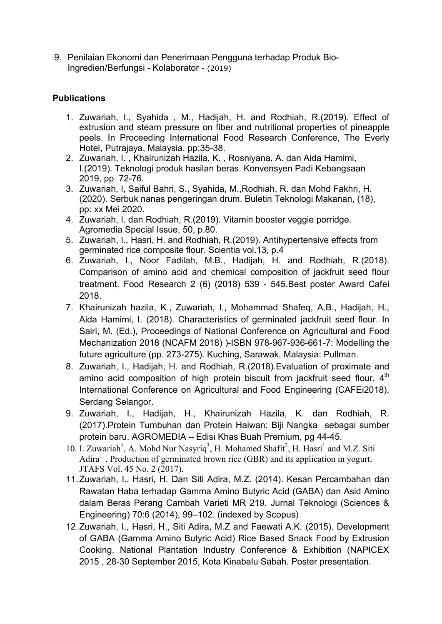9. Penilaian Ekonomi dan Penerimaan Pengguna terhadap Produk Bio-Ingredien/Berfungsi - Kolaborator - (2019)

# **Publications**

- 1. Zuwariah, I., Syahida , M., Hadijah, H. and Rodhiah, R.(2019). Effect of extrusion and steam pressure on fiber and nutritional properties of pineapple peels. In Proceeding International Food Research Conference, The Everly Hotel, Putrajaya, Malaysia. pp:35-38.
- 2. Zuwariah, I. , Khairunizah Hazila, K. , Rosniyana, A. dan Aida Hamimi, I.(2019). Teknologi produk hasilan beras. Konvensyen Padi Kebangsaan 2019, pp. 72-76.
- 3. Zuwariah, I, Saiful Bahri, S., Syahida, M.,Rodhiah, R. dan Mohd Fakhri, H. (2020). Serbuk nanas pengeringan drum. Buletin Teknologi Makanan, (18), pp: xx Mei 2020.
- 4. Zuwariah, I. dan Rodhiah, R.(2019). Vitamin booster veggie porridge. Agromedia Special Issue, 50, p.80.
- 5. Zuwariah, I., Hasri, H. and Rodhiah, R.(2019). Antihypertensive effects from germinated rice composite flour. Scientia vol.13, p.4
- 6. Zuwariah, I., Noor Fadilah, M.B., Hadijah, H. and Rodhiah, R.(2018). Comparison of amino acid and chemical composition of jackfruit seed flour treatment. Food Research 2 (6) (2018) 539 - 545.Best poster Award Cafei 2018.
- 7. Khairunizah hazila, K., Zuwariah, I., Mohammad Shafeq, A.B., Hadijah, H., Aida Hamimi, I. (2018). Characteristics of germinated jackfruit seed flour. In Sairi, M. (Ed.), Proceedings of National Conference on Agricultural and Food Mechanization 2018 (NCAFM 2018) )-ISBN 978-967-936-661-7: Modelling the future agriculture (pp. 273-275). Kuching, Sarawak, Malaysia: Pullman.
- 8. Zuwariah, I., Hadijah, H. and Rodhiah, R.(2018).Evaluation of proximate and amino acid composition of high protein biscuit from jackfruit seed flour.  $4<sup>th</sup>$ International Conference on Agricultural and Food Engineering (CAFEi2018), Serdang Selangor.
- 9. Zuwariah, I., Hadijah, H., Khairunizah Hazila, K. dan Rodhiah, R. (2017).Protein Tumbuhan dan Protein Haiwan: Biji Nangka sebagai sumber protein baru. AGROMEDIA – Edisi Khas Buah Premium, pg 44-45.
- 10. I. Zuwariah<sup>1</sup>, A. Mohd Nur Nasyriq<sup>3</sup>, H. Mohamed Shafit<sup>2</sup>, H. Hasri<sup>1</sup> and M.Z. Siti Adira<sup>1</sup>. Production of germinated brown rice (GBR) and its application in yogurt. JTAFS Vol. 45 No. 2 (2017).
- 11.Zuwariah, I., Hasri, H. Dan Siti Adira, M.Z. (2014). Kesan Percambahan dan Rawatan Haba terhadap Gamma Amino Butyric Acid (GABA) dan Asid Amino dalam Beras Perang Cambah Varieti MR 219. Jurnal Teknologi (Sciences & Engineering) 70:6 (2014), 99–102. (indexed by Scopus)
- 12.Zuwariah, I., Hasri, H., Siti Adira, M.Z and Faewati A.K. (2015). Development of GABA (Gamma Amino Butyric Acid) Rice Based Snack Food by Extrusion Cooking. National Plantation Industry Conference & Exhibition (NAPICEX 2015 , 28-30 September 2015, Kota Kinabalu Sabah. Poster presentation.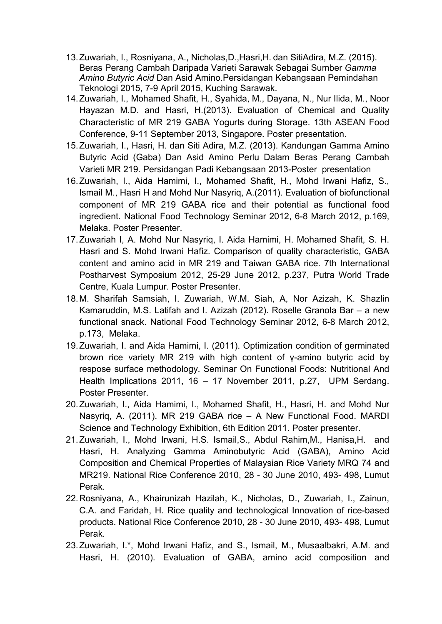- 13.Zuwariah, I., Rosniyana, A., Nicholas,D.,Hasri,H. dan SitiAdira, M.Z. (2015). Beras Perang Cambah Daripada Varieti Sarawak Sebagai Sumber *Gamma Amino Butyric Acid* Dan Asid Amino.Persidangan Kebangsaan Pemindahan Teknologi 2015, 7-9 April 2015, Kuching Sarawak.
- 14.Zuwariah, I., Mohamed Shafit, H., Syahida, M., Dayana, N., Nur Ilida, M., Noor Hayazan M.D. and Hasri, H.(2013). Evaluation of Chemical and Quality Characteristic of MR 219 GABA Yogurts during Storage. 13th ASEAN Food Conference, 9-11 September 2013, Singapore. Poster presentation.
- 15.Zuwariah, I., Hasri, H. dan Siti Adira, M.Z. (2013). Kandungan Gamma Amino Butyric Acid (Gaba) Dan Asid Amino Perlu Dalam Beras Perang Cambah Varieti MR 219. Persidangan Padi Kebangsaan 2013-Poster presentation
- 16.Zuwariah, I., Aida Hamimi, I., Mohamed Shafit, H., Mohd Irwani Hafiz, S., Ismail M., Hasri H and Mohd Nur Nasyriq, A.(2011). Evaluation of biofunctional component of MR 219 GABA rice and their potential as functional food ingredient. National Food Technology Seminar 2012, 6-8 March 2012, p.169, Melaka. Poster Presenter.
- 17.Zuwariah I, A. Mohd Nur Nasyriq, I. Aida Hamimi, H. Mohamed Shafit, S. H. Hasri and S. Mohd Irwani Hafiz. Comparison of quality characteristic, GABA content and amino acid in MR 219 and Taiwan GABA rice. 7th International Postharvest Symposium 2012, 25-29 June 2012, p.237, Putra World Trade Centre, Kuala Lumpur. Poster Presenter.
- 18.M. Sharifah Samsiah, I. Zuwariah, W.M. Siah, A, Nor Azizah, K. Shazlin Kamaruddin, M.S. Latifah and I. Azizah (2012). Roselle Granola Bar – a new functional snack. National Food Technology Seminar 2012, 6-8 March 2012, p.173, Melaka.
- 19.Zuwariah, I. and Aida Hamimi, I. (2011). Optimization condition of germinated brown rice variety MR 219 with high content of γ-amino butyric acid by respose surface methodology. Seminar On Functional Foods: Nutritional And Health Implications 2011, 16 – 17 November 2011, p.27, UPM Serdang. Poster Presenter.
- 20.Zuwariah, I., Aida Hamimi, I., Mohamed Shafit, H., Hasri, H. and Mohd Nur Nasyriq, A. (2011). MR 219 GABA rice – A New Functional Food. MARDI Science and Technology Exhibition, 6th Edition 2011. Poster presenter.
- 21.Zuwariah, I., Mohd Irwani, H.S. Ismail,S., Abdul Rahim,M., Hanisa,H. and Hasri, H. Analyzing Gamma Aminobutyric Acid (GABA), Amino Acid Composition and Chemical Properties of Malaysian Rice Variety MRQ 74 and MR219. National Rice Conference 2010, 28 - 30 June 2010, 493- 498, Lumut Perak.
- 22.Rosniyana, A., Khairunizah Hazilah, K., Nicholas, D., Zuwariah, I., Zainun, C.A. and Faridah, H. Rice quality and technological Innovation of rice-based products. National Rice Conference 2010, 28 - 30 June 2010, 493- 498, Lumut Perak.
- 23.Zuwariah, I.\*, Mohd Irwani Hafiz, and S., Ismail, M., Musaalbakri, A.M. and Hasri, H. (2010). Evaluation of GABA, amino acid composition and